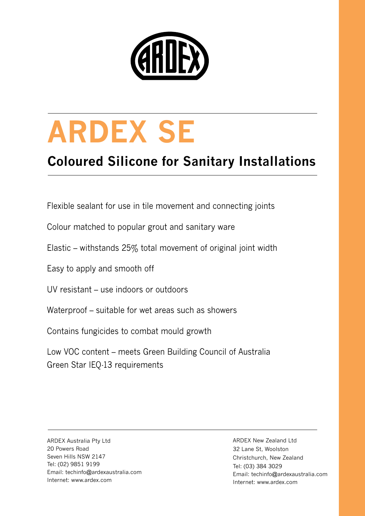

# **ARDEX SE**

## **Coloured Silicone for Sanitary Installations**

Flexible sealant for use in tile movement and connecting joints

Colour matched to popular grout and sanitary ware

Elastic – withstands 25% total movement of original joint width

Easy to apply and smooth off

UV resistant – use indoors or outdoors

Waterproof – suitable for wet areas such as showers

Contains fungicides to combat mould growth

Low VOC content – meets Green Building Council of Australia Green Star IEQ-13 requirements

ARDEX Australia Pty Ltd 20 Powers Road Seven Hills NSW 2147 Tel: (02) 9851 9199 Email: techinfo@ardexaustralia.com Internet: www.ardex.com

ARDEX New Zealand Ltd 32 Lane St, Woolston Christchurch, New Zealand Tel: (03) 384 3029 Email: techinfo@ardexaustralia.com Internet: www.ardex.com